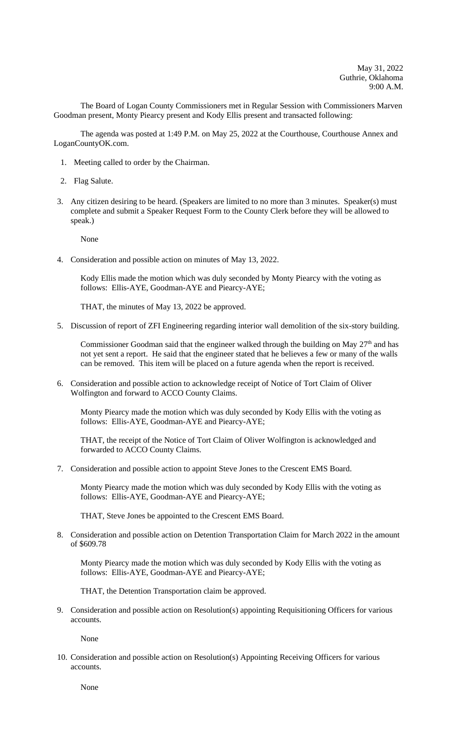The Board of Logan County Commissioners met in Regular Session with Commissioners Marven Goodman present, Monty Piearcy present and Kody Ellis present and transacted following:

The agenda was posted at 1:49 P.M. on May 25, 2022 at the Courthouse, Courthouse Annex and LoganCountyOK.com.

- 1. Meeting called to order by the Chairman.
- 2. Flag Salute.
- 3. Any citizen desiring to be heard. (Speakers are limited to no more than 3 minutes. Speaker(s) must complete and submit a Speaker Request Form to the County Clerk before they will be allowed to speak.)

None

4. Consideration and possible action on minutes of May 13, 2022.

Kody Ellis made the motion which was duly seconded by Monty Piearcy with the voting as follows: Ellis-AYE, Goodman-AYE and Piearcy-AYE;

THAT, the minutes of May 13, 2022 be approved.

5. Discussion of report of ZFI Engineering regarding interior wall demolition of the six-story building.

Commissioner Goodman said that the engineer walked through the building on May  $27<sup>th</sup>$  and has not yet sent a report. He said that the engineer stated that he believes a few or many of the walls can be removed. This item will be placed on a future agenda when the report is received.

6. Consideration and possible action to acknowledge receipt of Notice of Tort Claim of Oliver Wolfington and forward to ACCO County Claims.

Monty Piearcy made the motion which was duly seconded by Kody Ellis with the voting as follows: Ellis-AYE, Goodman-AYE and Piearcy-AYE;

THAT, the receipt of the Notice of Tort Claim of Oliver Wolfington is acknowledged and forwarded to ACCO County Claims.

7. Consideration and possible action to appoint Steve Jones to the Crescent EMS Board.

Monty Piearcy made the motion which was duly seconded by Kody Ellis with the voting as follows: Ellis-AYE, Goodman-AYE and Piearcy-AYE;

THAT, Steve Jones be appointed to the Crescent EMS Board.

8. Consideration and possible action on Detention Transportation Claim for March 2022 in the amount of \$609.78

Monty Piearcy made the motion which was duly seconded by Kody Ellis with the voting as follows: Ellis-AYE, Goodman-AYE and Piearcy-AYE;

THAT, the Detention Transportation claim be approved.

9. Consideration and possible action on Resolution(s) appointing Requisitioning Officers for various accounts.

None

10. Consideration and possible action on Resolution(s) Appointing Receiving Officers for various accounts.

None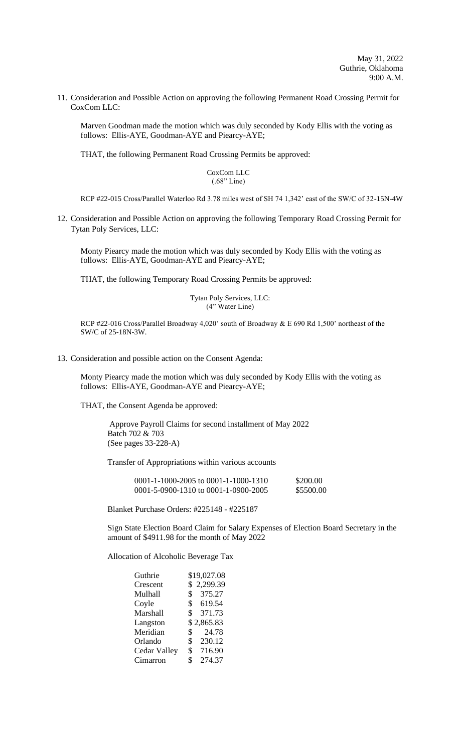11. Consideration and Possible Action on approving the following Permanent Road Crossing Permit for CoxCom LLC:

Marven Goodman made the motion which was duly seconded by Kody Ellis with the voting as follows: Ellis-AYE, Goodman-AYE and Piearcy-AYE;

THAT, the following Permanent Road Crossing Permits be approved:

CoxCom LLC (.68" Line)

RCP #22-015 Cross/Parallel Waterloo Rd 3.78 miles west of SH 74 1,342' east of the SW/C of 32-15N-4W

12. Consideration and Possible Action on approving the following Temporary Road Crossing Permit for Tytan Poly Services, LLC:

Monty Piearcy made the motion which was duly seconded by Kody Ellis with the voting as follows: Ellis-AYE, Goodman-AYE and Piearcy-AYE;

THAT, the following Temporary Road Crossing Permits be approved:

Tytan Poly Services, LLC: (4" Water Line)

RCP #22-016 Cross/Parallel Broadway 4,020' south of Broadway & E 690 Rd 1,500' northeast of the SW/C of 25-18N-3W.

13. Consideration and possible action on the Consent Agenda:

Monty Piearcy made the motion which was duly seconded by Kody Ellis with the voting as follows: Ellis-AYE, Goodman-AYE and Piearcy-AYE;

THAT, the Consent Agenda be approved:

 Approve Payroll Claims for second installment of May 2022 Batch 702 & 703 (See pages 33-228-A)

Transfer of Appropriations within various accounts

| $0001 - 1 - 1000 - 2005$ to $0001 - 1 - 1000 - 1310$ | \$200.00  |
|------------------------------------------------------|-----------|
| 0001-5-0900-1310 to 0001-1-0900-2005                 | \$5500.00 |

Blanket Purchase Orders: #225148 - #225187

Sign State Election Board Claim for Salary Expenses of Election Board Secretary in the amount of \$4911.98 for the month of May 2022

Allocation of Alcoholic Beverage Tax

| Guthrie             | \$19,027.08              |
|---------------------|--------------------------|
| Crescent            | 2,299.39<br>\$           |
| Mulhall             | 375.27<br>\$             |
| Coyle               | 619.54<br>$\mathbb{S}^-$ |
| Marshall            | 371.73<br>\$             |
| Langston            | \$2,865.83               |
| Meridian            | 24.78<br>\$              |
| Orlando             | \$<br>230.12             |
| <b>Cedar Valley</b> | 716.90<br>\$             |
| Cimarron            | \$<br>274.37             |